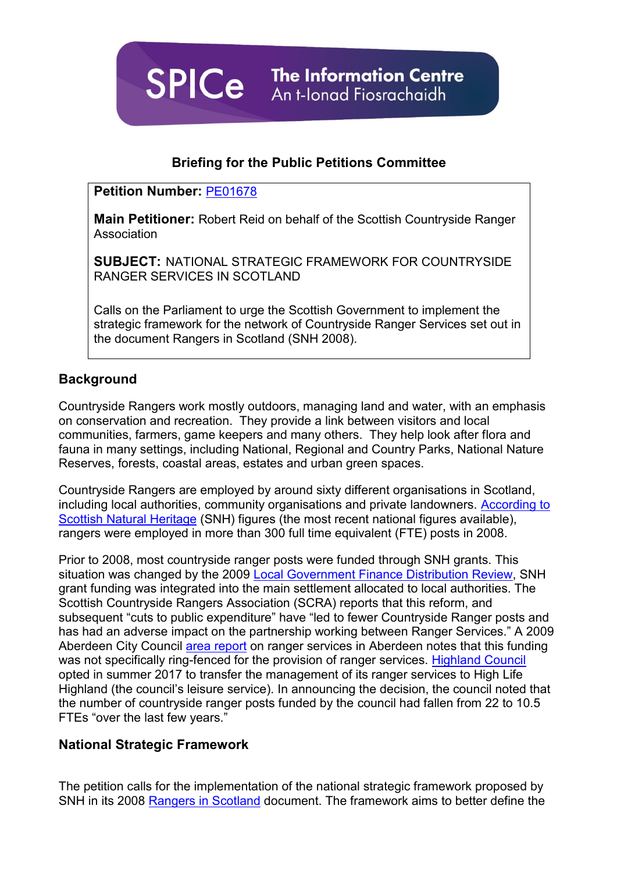**SPICe** The Information Centre An t-Ionad Fiosrachaidh

# **Briefing for the Public Petitions Committee**

### **Petition Number:** [PE01678](http://external.parliament.scot/GettingInvolved/Petitions/PE01678)

**Main Petitioner:** Robert Reid on behalf of the Scottish Countryside Ranger **Association** 

**SUBJECT:** NATIONAL STRATEGIC FRAMEWORK FOR COUNTRYSIDE RANGER SERVICES IN SCOTLAND

Calls on the Parliament to urge the Scottish Government to implement the strategic framework for the network of Countryside Ranger Services set out in the document Rangers in Scotland (SNH 2008).

# **Background**

Countryside Rangers work mostly outdoors, managing land and water, with an emphasis on conservation and recreation. They provide a link between visitors and local communities, farmers, game keepers and many others. They help look after flora and fauna in many settings, including National, Regional and Country Parks, National Nature Reserves, forests, coastal areas, estates and urban green spaces.

Countryside Rangers are employed by around sixty different organisations in Scotland, including local authorities, community organisations and private landowners. [According to](http://www.snh.org.uk/pdfs/publications/heritagemanagement/ranger_booklet.pdf)  [Scottish Natural Heritage](http://www.snh.org.uk/pdfs/publications/heritagemanagement/ranger_booklet.pdf) (SNH) figures (the most recent national figures available), rangers were employed in more than 300 full time equivalent (FTE) posts in 2008.

Prior to 2008, most countryside ranger posts were funded through SNH grants. This situation was changed by the 2009 [Local Government Finance Distribution Review,](http://www.gov.scot/Resource/Doc/919/0090575.pdf) SNH grant funding was integrated into the main settlement allocated to local authorities. The Scottish Countryside Rangers Association (SCRA) reports that this reform, and subsequent "cuts to public expenditure" have "led to fewer Countryside Ranger posts and has had an adverse impact on the partnership working between Ranger Services." A 2009 Aberdeen City Council [area report](https://committees.aberdeencity.gov.uk/documents/s4608/cde_acn_r4_2_090525.pdf) on ranger services in Aberdeen notes that this funding was not specifically ring-fenced for the provision of ranger services. [Highland Council](https://www.highland.gov.uk/news/article/10238/committee_approves_to_transfer_council_ranger_service) opted in summer 2017 to transfer the management of its ranger services to High Life Highland (the council's leisure service). In announcing the decision, the council noted that the number of countryside ranger posts funded by the council had fallen from 22 to 10.5 FTEs "over the last few years."

## **National Strategic Framework**

The petition calls for the implementation of the national strategic framework proposed by SNH in its 2008 [Rangers in Scotland](http://www.snh.org.uk/pdfs/publications/heritagemanagement/ranger_booklet.pdf) document. The framework aims to better define the